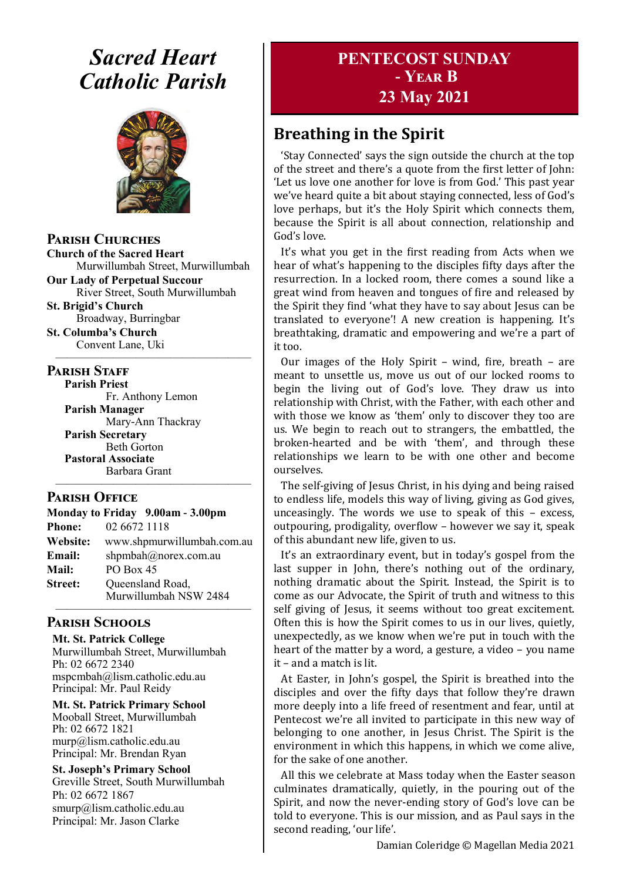# *Sacred Heart Catholic Parish*



**Parish Churches**

**Church of the Sacred Heart** Murwillumbah Street, Murwillumbah

**Our Lady of Perpetual Succour** River Street, South Murwillumbah

**St. Brigid's Church** Broadway, Burringbar

**St. Columba's Church** Convent Lane, Uki —————————————————

#### **PARISH STAFF**

**Parish Priest** Fr. Anthony Lemon

**Parish Manager** Mary-Ann Thackray **Parish Secretary** Beth Gorton **Pastoral Associate** Barbara Grant

#### **Parish Office**

**Monday to Friday 9.00am - 3.00pm Phone:** 02 6672 1118 **Website:** www.shpmurwillumbah.com.au **Email:** shpmbah@norex.com.au **Mail:** PO Box 45 **Street:** Oueensland Road, Murwillumbah NSW 2484

—————————————————

—————————————————

### **Parish Schools**

**Mt. St. Patrick College** Murwillumbah Street, Murwillumbah Ph: 02 6672 2340 mspcmbah@lism.catholic.edu.au Principal: Mr. Paul Reidy

**Mt. St. Patrick Primary School** Mooball Street, Murwillumbah Ph: 02 6672 1821 murp@lism.catholic.edu.au Principal: Mr. Brendan Ryan

**St. Joseph's Primary School** Greville Street, South Murwillumbah Ph: 02 6672 1867 smurp@lism.catholic.edu.au Principal: Mr. Jason Clarke

# **PENTECOST SUNDAY - Year B 23 May 2021**

# **Breathing in the Spirit**

'Stay Connected' says the sign outside the church at the top of the street and there's a quote from the first letter of John: 'Let us love one another for love is from God.' This past year we've heard quite a bit about staying connected, less of God's love perhaps, but it's the Holy Spirit which connects them, because the Spirit is all about connection, relationship and God's love.

It's what you get in the first reading from Acts when we hear of what's happening to the disciples fifty days after the resurrection. In a locked room, there comes a sound like a great wind from heaven and tongues of fire and released by the Spirit they find 'what they have to say about Jesus can be translated to everyone'! A new creation is happening. It's breathtaking, dramatic and empowering and we're a part of it too.

Our images of the Holy Spirit – wind, fire, breath – are meant to unsettle us, move us out of our locked rooms to begin the living out of God's love. They draw us into relationship with Christ, with the Father, with each other and with those we know as 'them' only to discover they too are us. We begin to reach out to strangers, the embattled, the broken-hearted and be with 'them', and through these relationships we learn to be with one other and become ourselves.

The self-giving of Jesus Christ, in his dying and being raised to endless life, models this way of living, giving as God gives, unceasingly. The words we use to speak of this – excess, outpouring, prodigality, overflow – however we say it, speak of this abundant new life, given to us.

It's an extraordinary event, but in today's gospel from the last supper in John, there's nothing out of the ordinary, nothing dramatic about the Spirit. Instead, the Spirit is to come as our Advocate, the Spirit of truth and witness to this self giving of Jesus, it seems without too great excitement. Often this is how the Spirit comes to us in our lives, quietly, unexpectedly, as we know when we're put in touch with the heart of the matter by a word, a gesture, a video – you name it – and a match is lit.

At Easter, in John's gospel, the Spirit is breathed into the disciples and over the fifty days that follow they're drawn more deeply into a life freed of resentment and fear, until at Pentecost we're all invited to participate in this new way of belonging to one another, in Jesus Christ. The Spirit is the environment in which this happens, in which we come alive, for the sake of one another.

All this we celebrate at Mass today when the Easter season culminates dramatically, quietly, in the pouring out of the Spirit, and now the never-ending story of God's love can be told to everyone. This is our mission, and as Paul says in the second reading, 'our life'.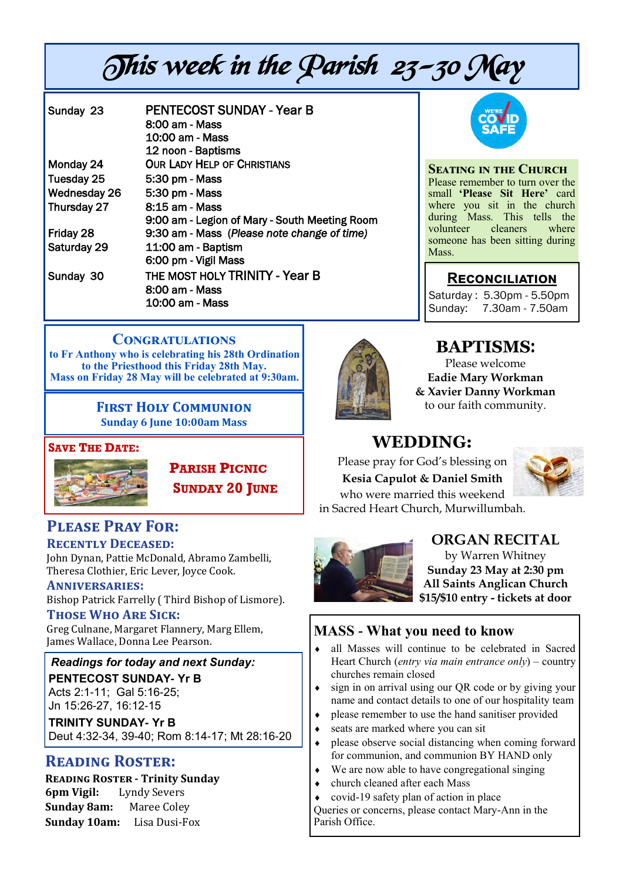# This week in the Parish 23-30 May

| Sunday 23    | <b>PENTECOST SUNDAY - Year B</b>              |
|--------------|-----------------------------------------------|
|              | 8:00 am - Mass                                |
|              | 10:00 am - Mass                               |
|              | 12 noon - Baptisms                            |
| Monday 24    | <b>OUR LADY HELP OF CHRISTIANS</b>            |
| Tuesday 25   | 5:30 pm - Mass                                |
| Wednesday 26 | 5:30 pm - Mass                                |
| Thursday 27  | 8:15 am - Mass                                |
|              | 9:00 am - Legion of Mary - South Meeting Room |
| Friday 28    | 9:30 am - Mass (Please note change of time)   |
| Saturday 29  | 11:00 am - Baptism                            |
|              | 6:00 pm - Vigil Mass                          |
| Sunday 30    | THE MOST HOLY TRINITY - Year B                |
|              | 8:00 am - Mass                                |
|              | 10:00 am - Mass                               |



**Seating in the Church** Please remember to turn over the small **'Please Sit Here'** card where you sit in the church during Mass. This tells the volunteer cleaners where someone has been sitting during Mass.

# **Reconciliation**

Saturday : 5.30pm - 5.50pm Sunday: 7.30am - 7.50am

### **Congratulations**

**to Fr Anthony who is celebrating his 28th Ordination to the Priesthood this Friday 28th May. Mass on Friday 28 May will be celebrated at 9:30am.**

> **First Holy Communion Sunday 6 June 10:00am Mass**

#### **SAVE THE DATE:**



 **PARISH PICNIC SUNDAY 20 JUNE**

## **Please Pray For: Recently Deceased:**

John Dynan, Pattie McDonald, Abramo Zambelli, Theresa Clothier, Eric Lever, Joyce Cook.

#### **Anniversaries:**

Bishop Patrick Farrelly ( Third Bishop of Lismore). **Those Who Are Sick:** 

Greg Culnane, Margaret Flannery, Marg Ellem, James Wallace, Donna Lee Pearson.

*Readings for today and next Sunday:*  **PENTECOST SUNDAY- Yr B** Acts 2:1-11; Gal 5:16-25; Jn 15:26-27, 16:12-15

**TRINITY SUNDAY- Yr B** Deut 4:32-34, 39-40; Rom 8:14-17; Mt 28:16-20

# **Reading Roster:**

**Reading Roster - Trinity Sunday 6pm Vigil:** Lyndy Severs **Sunday 8am:** Maree Coley **Sunday 10am:** Lisa Dusi-Fox



# **BAPTISMS**:

Please welcome **Eadie Mary Workman & Xavier Danny Workman** to our faith community.

# **WEDDING:**

Please pray for God's blessing on **Kesia Capulot & Daniel Smith** who were married this weekend in Sacred Heart Church, Murwillumbah.





# **ORGAN RECITAL**

by Warren Whitney **Sunday 23 May at 2:30 pm All Saints Anglican Church \$15/\$10 entry - tickets at door**

# **MASS - What you need to know**

- all Masses will continue to be celebrated in Sacred Heart Church (*entry via main entrance only*) – country churches remain closed
- $\bullet$  sign in on arrival using our QR code or by giving your name and contact details to one of our hospitality team
- please remember to use the hand sanitiser provided
- seats are marked where you can sit
- please observe social distancing when coming forward for communion, and communion BY HAND only
- We are now able to have congregational singing
- church cleaned after each Mass
- covid-19 safety plan of action in place

Queries or concerns, please contact Mary-Ann in the Parish Office.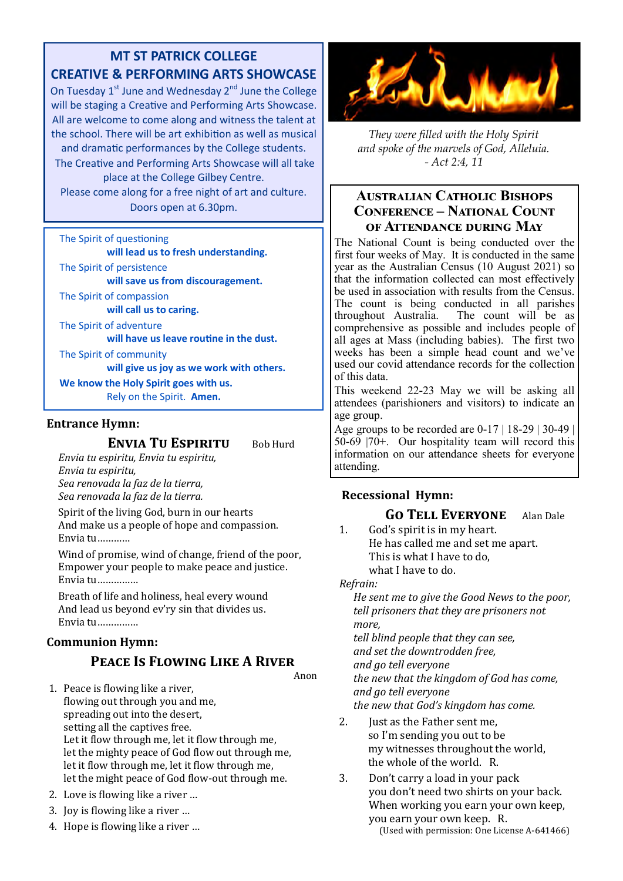# **MT ST PATRICK COLLEGE CREATIVE & PERFORMING ARTS SHOWCASE**

On Tuesday  $1^{st}$  June and Wednesday  $2^{nd}$  June the College will be staging a Creative and Performing Arts Showcase. All are welcome to come along and witness the talent at the school. There will be art exhibition as well as musical and dramatic performances by the College students.

The Creative and Performing Arts Showcase will all take place at the College Gilbey Centre.

Please come along for a free night of art and culture. Doors open at 6.30pm.

#### The Spirit of questioning

**will lead us to fresh understanding.**

The Spirit of persistence

**will save us from discouragement.** 

The Spirit of compassion

**will call us to caring.**

The Spirit of adventure

**will have us leave routine in the dust.** 

The Spirit of community

**will give us joy as we work with others.** 

**We know the Holy Spirit goes with us.**  Rely on the Spirit. **Amen.** 

#### **Entrance Hymn:**

#### **ENVIA TU ESPIRITU** Bob Hurd

*Envia tu espiritu, Envia tu espiritu, Envia tu espiritu, Sea renovada la faz de la tierra, Sea renovada la faz de la tierra.*

Spirit of the living God, burn in our hearts And make us a people of hope and compassion. Envia tu…………

Wind of promise, wind of change, friend of the poor, Empower your people to make peace and justice. Envia tu……………

Breath of life and holiness, heal every wound And lead us beyond ev'ry sin that divides us. Envia tu……………

#### **Communion Hymn:**

# **Peace Is Flowing Like A River**

- 1. Peace is flowing like a river, flowing out through you and me, spreading out into the desert, setting all the captives free. Let it flow through me, let it flow through me, let the mighty peace of God flow out through me, let it flow through me, let it flow through me, let the might peace of God flow-out through me.
- 2. Love is flowing like a river …
- 3. Joy is flowing like a river …
- 4. Hope is flowing like a river …



*They were filled with the Holy Spirit and spoke of the marvels of God, Alleluia. - Act 2:4, 11*

#### **Australian Catholic Bishops Conference – National Count of Attendance during May**

The National Count is being conducted over the first four weeks of May. It is conducted in the same year as the Australian Census (10 August 2021) so that the information collected can most effectively be used in association with results from the Census. The count is being conducted in all parishes throughout Australia. The count will be as comprehensive as possible and includes people of all ages at Mass (including babies). The first two weeks has been a simple head count and we've used our covid attendance records for the collection of this data.

This weekend 22-23 May we will be asking all attendees (parishioners and visitors) to indicate an age group.

Age groups to be recorded are  $0-17$  | 18-29 | 30-49 |  $50-69$   $|70+$ . Our hospitality team will record this information on our attendance sheets for everyone attending.

### **Recessional Hymn:**

 **Go Tell Everyone** Alan Dale

1. God's spirit is in my heart. He has called me and set me apart. This is what I have to do, what I have to do.

*Refrain:* 

Anon

*He sent me to give the Good News to the poor, tell prisoners that they are prisoners not more,* 

*tell blind people that they can see, and set the downtrodden free, and go tell everyone the new that the kingdom of God has come, and go tell everyone the new that God's kingdom has come.* 

- 2. Just as the Father sent me, so I'm sending you out to be my witnesses throughout the world, the whole of the world. R.
- 3. Don't carry a load in your pack you don't need two shirts on your back. When working you earn your own keep, you earn your own keep. R. (Used with permission: One License A-641466)